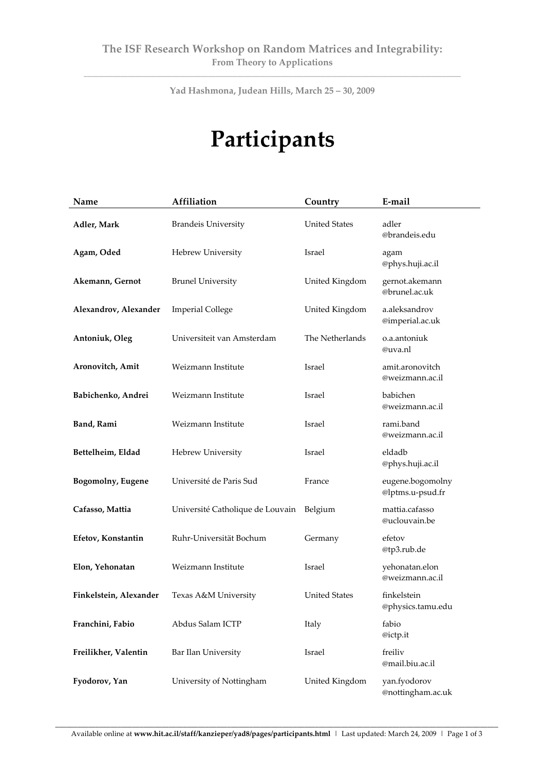**\_\_\_\_\_\_\_\_\_\_\_\_\_\_\_\_\_\_\_\_\_\_\_\_\_\_\_\_\_\_\_\_\_\_\_\_\_\_\_\_\_\_\_\_\_\_\_\_\_\_\_\_\_\_\_\_\_\_\_\_\_\_\_\_\_\_\_\_\_\_\_\_\_\_\_\_\_\_\_\_\_\_\_\_\_\_\_\_\_\_\_\_\_\_\_\_\_\_\_\_\_\_\_ Yad Hashmona, Judean Hills, March 25 – 30, 2009**

## **Participants**

| Name                      | Affiliation                      | Country              | E-mail                               |
|---------------------------|----------------------------------|----------------------|--------------------------------------|
| Adler, Mark               | <b>Brandeis University</b>       | <b>United States</b> | adler<br>@brandeis.edu               |
| Agam, Oded                | Hebrew University                | Israel               | agam<br>@phys.huji.ac.il             |
| Akemann, Gernot           | <b>Brunel University</b>         | United Kingdom       | gernot.akemann<br>@brunel.ac.uk      |
| Alexandrov, Alexander     | <b>Imperial College</b>          | United Kingdom       | a.aleksandrov<br>@imperial.ac.uk     |
| Antoniuk, Oleg            | Universiteit van Amsterdam       | The Netherlands      | o.a.antoniuk<br>@uva.nl              |
| Aronovitch, Amit          | Weizmann Institute               | Israel               | amit.aronovitch<br>@weizmann.ac.il   |
| Babichenko, Andrei        | Weizmann Institute               | Israel               | babichen<br>@weizmann.ac.il          |
| Band, Rami                | Weizmann Institute               | Israel               | rami.band<br>@weizmann.ac.il         |
| Bettelheim, Eldad         | Hebrew University                | Israel               | eldadb<br>@phys.huji.ac.il           |
| <b>Bogomolny</b> , Eugene | Université de Paris Sud          | France               | eugene.bogomolny<br>@lptms.u-psud.fr |
| Cafasso, Mattia           | Université Catholique de Louvain | Belgium              | mattia.cafasso<br>@uclouvain.be      |
| Efetov, Konstantin        | Ruhr-Universität Bochum          | Germany              | efetov<br>@tp3.rub.de                |
| Elon, Yehonatan           | Weizmann Institute               | Israel               | yehonatan.elon<br>@weizmann.ac.il    |
| Finkelstein, Alexander    | Texas A&M University             | <b>United States</b> | finkelstein<br>@physics.tamu.edu     |
| Franchini, Fabio          | Abdus Salam ICTP                 | Italy                | fabio<br>@ictp.it                    |
| Freilikher, Valentin      | Bar Ilan University              | Israel               | freiliv<br>@mail.biu.ac.il           |
| Fyodorov, Yan             | University of Nottingham         | United Kingdom       | yan.fyodorov<br>@nottingham.ac.uk    |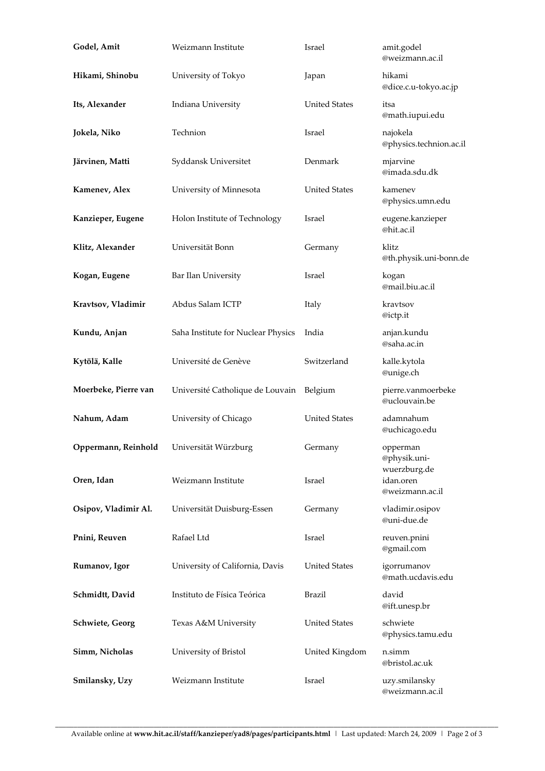| Godel, Amit          | Weizmann Institute                 | Israel               | amit.godel<br>@weizmann.ac.il            |
|----------------------|------------------------------------|----------------------|------------------------------------------|
| Hikami, Shinobu      | University of Tokyo                | Japan                | hikami<br>@dice.c.u-tokyo.ac.jp          |
| Its, Alexander       | Indiana University                 | <b>United States</b> | itsa<br>@math.iupui.edu                  |
| Jokela, Niko         | Technion                           | Israel               | najokela<br>@physics.technion.ac.il      |
| Järvinen, Matti      | Syddansk Universitet               | Denmark              | mjarvine<br>@imada.sdu.dk                |
| Kamenev, Alex        | University of Minnesota            | <b>United States</b> | kamenev<br>@physics.umn.edu              |
| Kanzieper, Eugene    | Holon Institute of Technology      | Israel               | eugene.kanzieper<br>@hit.ac.il           |
| Klitz, Alexander     | Universität Bonn                   | Germany              | klitz<br>@th.physik.uni-bonn.de          |
| Kogan, Eugene        | Bar Ilan University                | Israel               | kogan<br>@mail.biu.ac.il                 |
| Kravtsov, Vladimir   | Abdus Salam ICTP                   | Italy                | kravtsov<br>@ictp.it                     |
| Kundu, Anjan         | Saha Institute for Nuclear Physics | India                | anjan.kundu<br>@saha.ac.in               |
| Kytölä, Kalle        | Université de Genève               | Switzerland          | kalle.kytola<br>@unige.ch                |
| Moerbeke, Pierre van | Université Catholique de Louvain   | Belgium              | pierre.vanmoerbeke<br>@uclouvain.be      |
| Nahum, Adam          | University of Chicago              | <b>United States</b> | adamnahum<br>@uchicago.edu               |
| Oppermann, Reinhold  | Universität Würzburg               | Germany              | opperman<br>@physik.uni-<br>wuerzburg.de |
| Oren, Idan           | Weizmann Institute                 | Israel               | idan.oren<br>@weizmann.ac.il             |
| Osipov, Vladimir Al. | Universität Duisburg-Essen         | Germany              | vladimir.osipov<br>@uni-due.de           |
| Pnini, Reuven        | Rafael Ltd                         | Israel               | reuven.pnini<br>@gmail.com               |
| Rumanov, Igor        | University of California, Davis    | <b>United States</b> | igorrumanov<br>@math.ucdavis.edu         |
| Schmidtt, David      | Instituto de Física Teórica        | <b>Brazil</b>        | david<br>@ift.unesp.br                   |
| Schwiete, Georg      | Texas A&M University               | <b>United States</b> | schwiete<br>@physics.tamu.edu            |
| Simm, Nicholas       | University of Bristol              | United Kingdom       | n.simm<br>@bristol.ac.uk                 |
| Smilansky, Uzy       | Weizmann Institute                 | Israel               | uzy.smilansky<br>@weizmann.ac.il         |